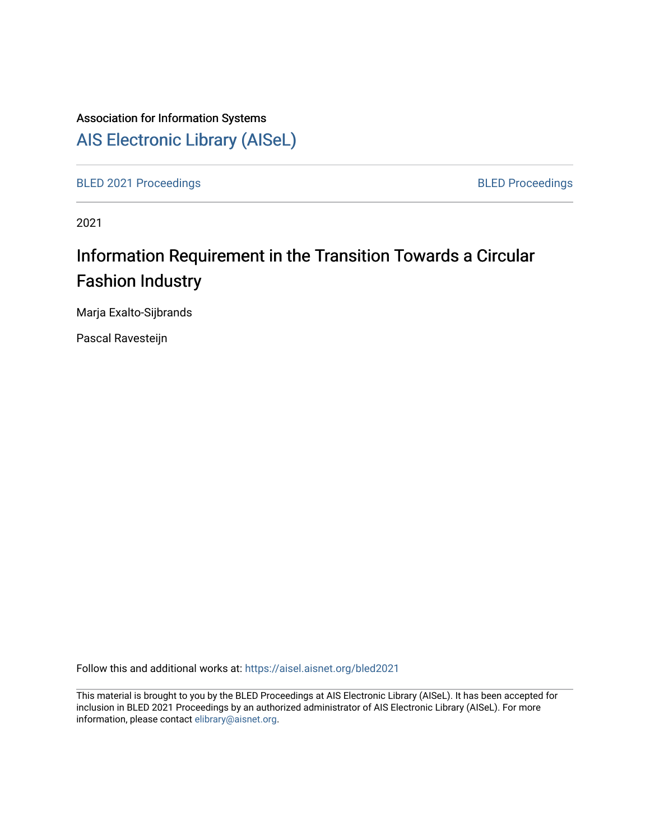# Association for Information Systems [AIS Electronic Library \(AISeL\)](https://aisel.aisnet.org/)

[BLED 2021 Proceedings](https://aisel.aisnet.org/bled2021) **BLED Proceedings** 

2021

# Information Requirement in the Transition Towards a Circular Fashion Industry

Marja Exalto-Sijbrands

Pascal Ravesteijn

Follow this and additional works at: [https://aisel.aisnet.org/bled2021](https://aisel.aisnet.org/bled2021?utm_source=aisel.aisnet.org%2Fbled2021%2F23&utm_medium=PDF&utm_campaign=PDFCoverPages) 

This material is brought to you by the BLED Proceedings at AIS Electronic Library (AISeL). It has been accepted for inclusion in BLED 2021 Proceedings by an authorized administrator of AIS Electronic Library (AISeL). For more information, please contact [elibrary@aisnet.org.](mailto:elibrary@aisnet.org%3E)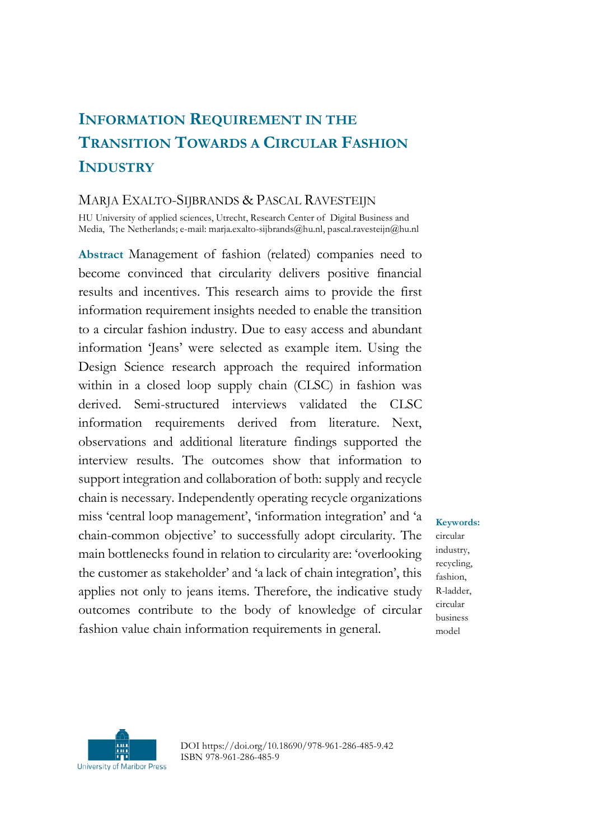## **INFORMATION REQUIREMENT IN THE TRANSITION TOWARDS A CIRCULAR FASHION INDUSTRY**

#### MARJA EXALTO-SIJBRANDS & PASCAL RAVESTEIJN

HU University of applied sciences, Utrecht, Research Center of Digital Business and Media, The Netherlands; e-mail: marja.exalto-sijbrands@hu.nl, pascal.ravesteijn@hu.nl

**Abstract** Management of fashion (related) companies need to become convinced that circularity delivers positive financial results and incentives. This research aims to provide the first information requirement insights needed to enable the transition to a circular fashion industry. Due to easy access and abundant information 'Jeans' were selected as example item. Using the Design Science research approach the required information within in a closed loop supply chain (CLSC) in fashion was derived. Semi-structured interviews validated the CLSC information requirements derived from literature. Next, observations and additional literature findings supported the interview results. The outcomes show that information to support integration and collaboration of both: supply and recycle chain is necessary. Independently operating recycle organizations miss 'central loop management', 'information integration' and 'a chain-common objective' to successfully adopt circularity. The main bottlenecks found in relation to circularity are: 'overlooking the customer as stakeholder' and 'a lack of chain integration', this applies not only to jeans items. Therefore, the indicative study outcomes contribute to the body of knowledge of circular fashion value chain information requirements in general.

**Keywords:** circular industry, recycling, fashion, R-ladder, circular business model



DOI https://doi.org/10.18690/978-961-286-485-9.42 ISBN 978-961-286-485-9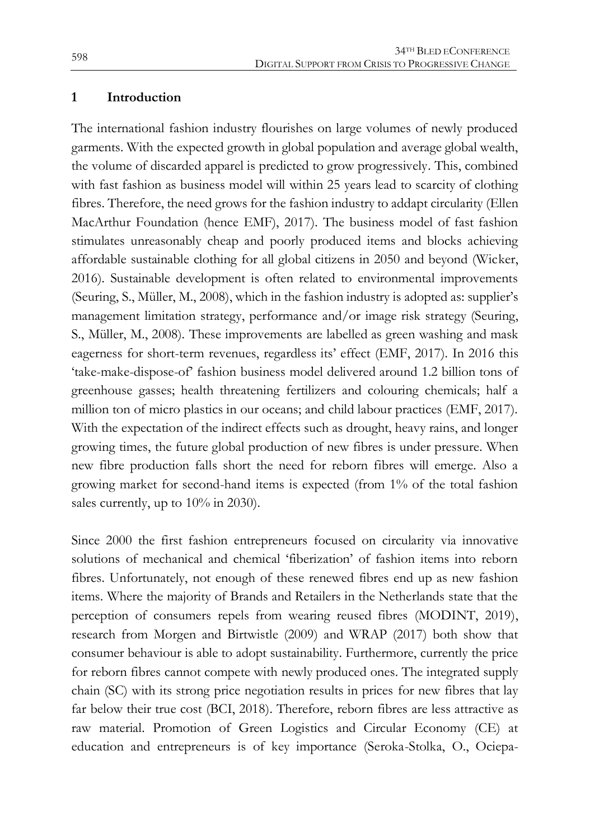#### **1 Introduction**

The international fashion industry flourishes on large volumes of newly produced garments. With the expected growth in global population and average global wealth, the volume of discarded apparel is predicted to grow progressively. This, combined with fast fashion as business model will within 25 years lead to scarcity of clothing fibres. Therefore, the need grows for the fashion industry to addapt circularity (Ellen MacArthur Foundation (hence EMF), 2017). The business model of fast fashion stimulates unreasonably cheap and poorly produced items and blocks achieving affordable sustainable clothing for all global citizens in 2050 and beyond (Wicker, 2016). Sustainable development is often related to environmental improvements (Seuring, S., Müller, M., 2008), which in the fashion industry is adopted as: supplier's management limitation strategy, performance and/or image risk strategy (Seuring, S., Müller, M., 2008). These improvements are labelled as green washing and mask eagerness for short-term revenues, regardless its' effect (EMF, 2017). In 2016 this 'take-make-dispose-of' fashion business model delivered around 1.2 billion tons of greenhouse gasses; health threatening fertilizers and colouring chemicals; half a million ton of micro plastics in our oceans; and child labour practices (EMF, 2017). With the expectation of the indirect effects such as drought, heavy rains, and longer growing times, the future global production of new fibres is under pressure. When new fibre production falls short the need for reborn fibres will emerge. Also a growing market for second-hand items is expected (from 1% of the total fashion sales currently, up to  $10\%$  in 2030).

Since 2000 the first fashion entrepreneurs focused on circularity via innovative solutions of mechanical and chemical 'fiberization' of fashion items into reborn fibres. Unfortunately, not enough of these renewed fibres end up as new fashion items. Where the majority of Brands and Retailers in the Netherlands state that the perception of consumers repels from wearing reused fibres (MODINT, 2019), research from Morgen and Birtwistle (2009) and WRAP (2017) both show that consumer behaviour is able to adopt sustainability. Furthermore, currently the price for reborn fibres cannot compete with newly produced ones. The integrated supply chain (SC) with its strong price negotiation results in prices for new fibres that lay far below their true cost (BCI, 2018). Therefore, reborn fibres are less attractive as raw material. Promotion of Green Logistics and Circular Economy (CE) at education and entrepreneurs is of key importance (Seroka-Stolka, O., Ociepa-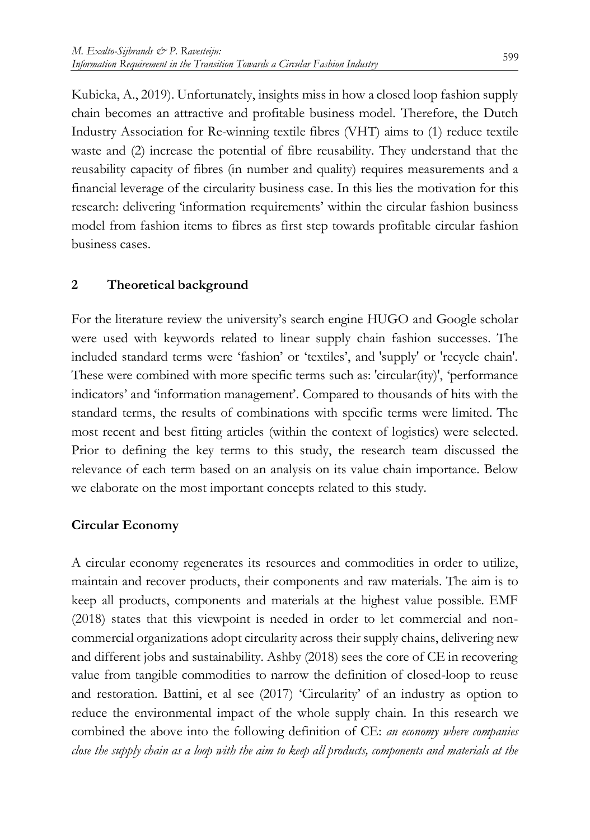Kubicka, A., 2019). Unfortunately, insights miss in how a closed loop fashion supply chain becomes an attractive and profitable business model. Therefore, the Dutch Industry Association for Re-winning textile fibres (VHT) aims to (1) reduce textile waste and (2) increase the potential of fibre reusability. They understand that the reusability capacity of fibres (in number and quality) requires measurements and a financial leverage of the circularity business case. In this lies the motivation for this research: delivering 'information requirements' within the circular fashion business model from fashion items to fibres as first step towards profitable circular fashion business cases.

## **2 Theoretical background**

For the literature review the university's search engine HUGO and Google scholar were used with keywords related to linear supply chain fashion successes. The included standard terms were 'fashion' or 'textiles', and 'supply' or 'recycle chain'. These were combined with more specific terms such as: 'circular(ity)', 'performance indicators' and 'information management'. Compared to thousands of hits with the standard terms, the results of combinations with specific terms were limited. The most recent and best fitting articles (within the context of logistics) were selected. Prior to defining the key terms to this study, the research team discussed the relevance of each term based on an analysis on its value chain importance. Below we elaborate on the most important concepts related to this study.

## **Circular Economy**

A circular economy regenerates its resources and commodities in order to utilize, maintain and recover products, their components and raw materials. The aim is to keep all products, components and materials at the highest value possible. EMF (2018) states that this viewpoint is needed in order to let commercial and noncommercial organizations adopt circularity across their supply chains, delivering new and different jobs and sustainability. Ashby (2018) sees the core of CE in recovering value from tangible commodities to narrow the definition of closed-loop to reuse and restoration. Battini, et al see (2017) 'Circularity' of an industry as option to reduce the environmental impact of the whole supply chain. In this research we combined the above into the following definition of CE: *an economy where companies close the supply chain as a loop with the aim to keep all products, components and materials at the*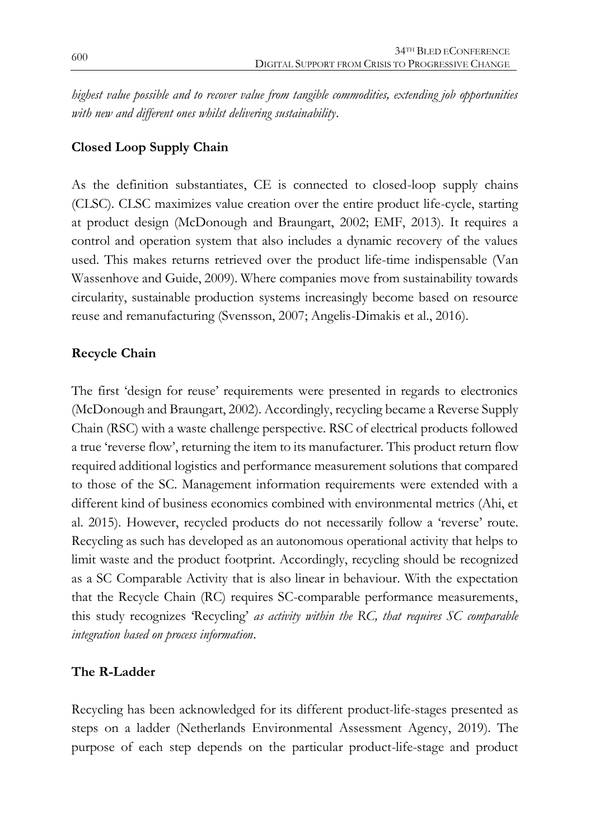*highest value possible and to recover value from tangible commodities, extending job opportunities with new and different ones whilst delivering sustainability*.

#### **Closed Loop Supply Chain**

As the definition substantiates, CE is connected to closed-loop supply chains (CLSC). CLSC maximizes value creation over the entire product life-cycle, starting at product design (McDonough and Braungart, 2002; EMF, 2013). It requires a control and operation system that also includes a dynamic recovery of the values used. This makes returns retrieved over the product life-time indispensable (Van Wassenhove and Guide, 2009). Where companies move from sustainability towards circularity, sustainable production systems increasingly become based on resource reuse and remanufacturing (Svensson, 2007; Angelis-Dimakis et al., 2016).

#### **Recycle Chain**

The first 'design for reuse' requirements were presented in regards to electronics (McDonough and Braungart, 2002). Accordingly, recycling became a Reverse Supply Chain (RSC) with a waste challenge perspective. RSC of electrical products followed a true 'reverse flow', returning the item to its manufacturer. This product return flow required additional logistics and performance measurement solutions that compared to those of the SC. Management information requirements were extended with a different kind of business economics combined with environmental metrics (Ahi, et al. 2015). However, recycled products do not necessarily follow a 'reverse' route. Recycling as such has developed as an autonomous operational activity that helps to limit waste and the product footprint. Accordingly, recycling should be recognized as a SC Comparable Activity that is also linear in behaviour. With the expectation that the Recycle Chain (RC) requires SC-comparable performance measurements, this study recognizes 'Recycling' *as activity within the RC, that requires SC comparable integration based on process information*.

#### **The R-Ladder**

Recycling has been acknowledged for its different product-life-stages presented as steps on a ladder (Netherlands Environmental Assessment Agency, 2019). The purpose of each step depends on the particular product-life-stage and product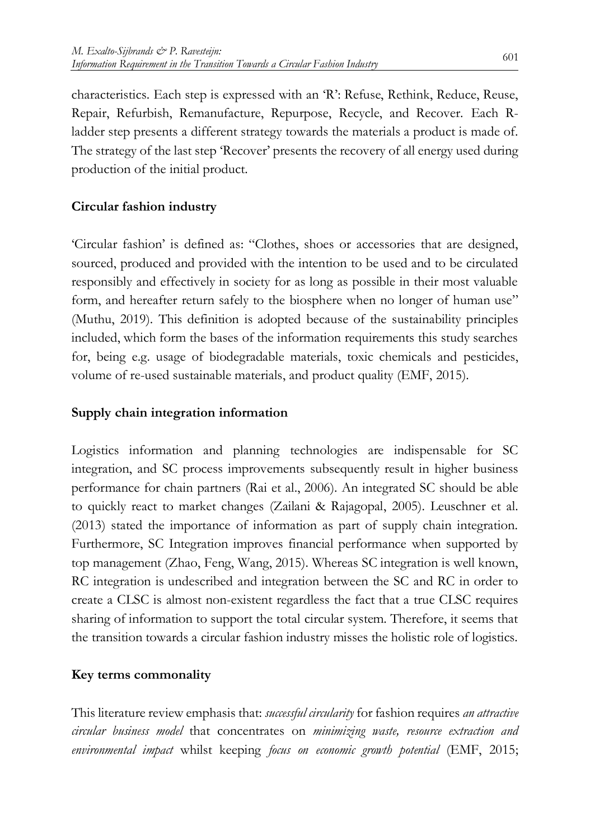characteristics. Each step is expressed with an 'R': Refuse, Rethink, Reduce, Reuse, Repair, Refurbish, Remanufacture, Repurpose, Recycle, and Recover. Each Rladder step presents a different strategy towards the materials a product is made of. The strategy of the last step 'Recover' presents the recovery of all energy used during production of the initial product.

## **Circular fashion industry**

'Circular fashion' is defined as: "Clothes, shoes or accessories that are designed, sourced, produced and provided with the intention to be used and to be circulated responsibly and effectively in society for as long as possible in their most valuable form, and hereafter return safely to the biosphere when no longer of human use" (Muthu, 2019). This definition is adopted because of the sustainability principles included, which form the bases of the information requirements this study searches for, being e.g. usage of biodegradable materials, toxic chemicals and pesticides, volume of re-used sustainable materials, and product quality (EMF, 2015).

#### **Supply chain integration information**

Logistics information and planning technologies are indispensable for SC integration, and SC process improvements subsequently result in higher business performance for chain partners (Rai et al., 2006). An integrated SC should be able to quickly react to market changes (Zailani & Rajagopal, 2005). Leuschner et al. (2013) stated the importance of information as part of supply chain integration. Furthermore, SC Integration improves financial performance when supported by top management (Zhao, Feng, Wang, 2015). Whereas SC integration is well known, RC integration is undescribed and integration between the SC and RC in order to create a CLSC is almost non-existent regardless the fact that a true CLSC requires sharing of information to support the total circular system. Therefore, it seems that the transition towards a circular fashion industry misses the holistic role of logistics.

#### **Key terms commonality**

This literature review emphasis that: *successful circularity* for fashion requires *an attractive circular business model* that concentrates on *minimizing waste, resource extraction and environmental impact* whilst keeping *focus on economic growth potential* (EMF, 2015;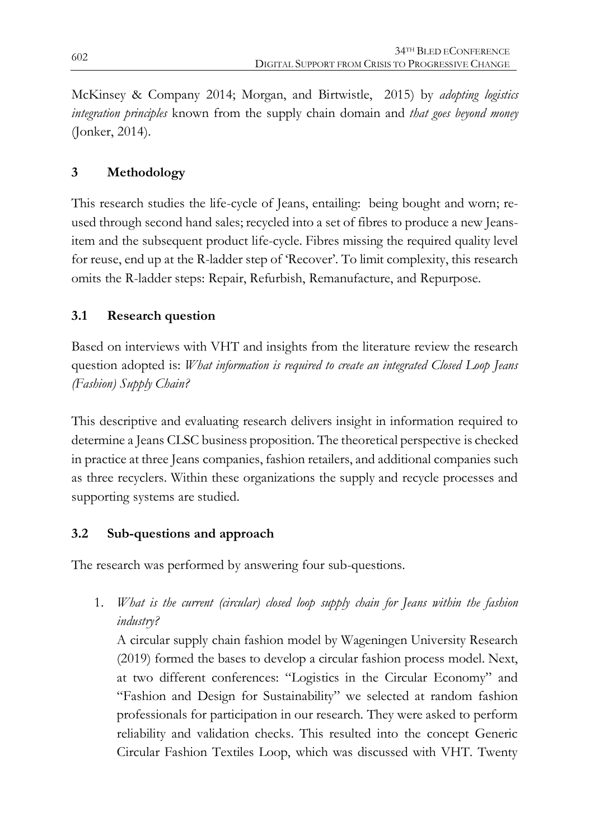McKinsey & Company 2014; Morgan, and Birtwistle, 2015) by *adopting logistics integration principles* known from the supply chain domain and *that goes beyond money* (Jonker, 2014).

## **3 Methodology**

This research studies the life-cycle of Jeans, entailing: being bought and worn; reused through second hand sales; recycled into a set of fibres to produce a new Jeansitem and the subsequent product life-cycle. Fibres missing the required quality level for reuse, end up at the R-ladder step of 'Recover'. To limit complexity, this research omits the R-ladder steps: Repair, Refurbish, Remanufacture, and Repurpose.

## **3.1 Research question**

Based on interviews with VHT and insights from the literature review the research question adopted is: *What information is required to create an integrated Closed Loop Jeans (Fashion) Supply Chain?*

This descriptive and evaluating research delivers insight in information required to determine a Jeans CLSC business proposition. The theoretical perspective is checked in practice at three Jeans companies, fashion retailers, and additional companies such as three recyclers. Within these organizations the supply and recycle processes and supporting systems are studied.

## **3.2 Sub-questions and approach**

The research was performed by answering four sub-questions.

1. *What is the current (circular) closed loop supply chain for Jeans within the fashion industry?* 

A circular supply chain fashion model by Wageningen University Research (2019) formed the bases to develop a circular fashion process model. Next, at two different conferences: "Logistics in the Circular Economy" and "Fashion and Design for Sustainability" we selected at random fashion professionals for participation in our research. They were asked to perform reliability and validation checks. This resulted into the concept Generic Circular Fashion Textiles Loop, which was discussed with VHT. Twenty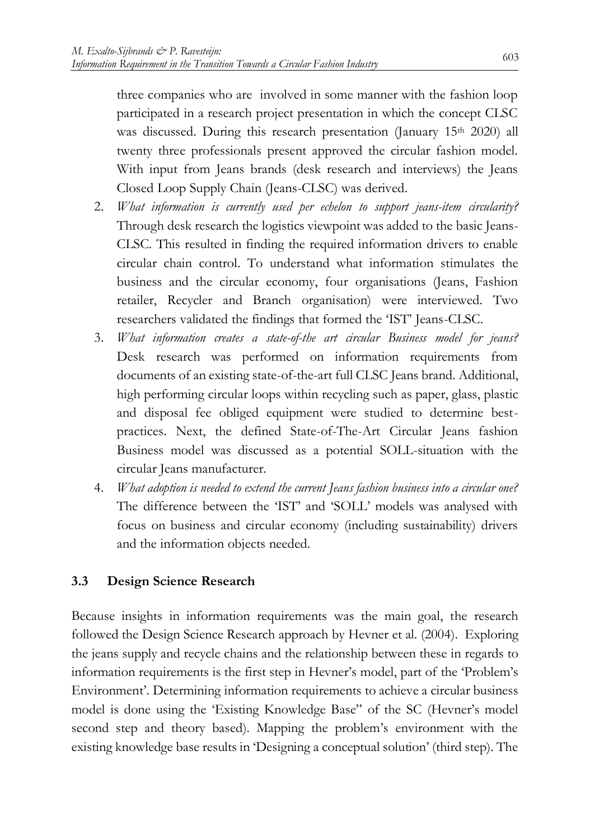three companies who are involved in some manner with the fashion loop participated in a research project presentation in which the concept CLSC was discussed. During this research presentation (January 15<sup>th</sup> 2020) all twenty three professionals present approved the circular fashion model. With input from Jeans brands (desk research and interviews) the Jeans Closed Loop Supply Chain (Jeans-CLSC) was derived.

- 2. *What information is currently used per echelon to support jeans-item circularity?* Through desk research the logistics viewpoint was added to the basic Jeans-CLSC. This resulted in finding the required information drivers to enable circular chain control. To understand what information stimulates the business and the circular economy, four organisations (Jeans, Fashion retailer, Recycler and Branch organisation) were interviewed. Two researchers validated the findings that formed the 'IST' Jeans-CLSC.
- 3. *What information creates a state-of-the art circular Business model for jeans?* Desk research was performed on information requirements from documents of an existing state-of-the-art full CLSC Jeans brand. Additional, high performing circular loops within recycling such as paper, glass, plastic and disposal fee obliged equipment were studied to determine bestpractices. Next, the defined State-of-The-Art Circular Jeans fashion Business model was discussed as a potential SOLL-situation with the circular Jeans manufacturer.
- 4. *What adoption is needed to extend the current Jeans fashion business into a circular one?* The difference between the 'IST' and 'SOLL' models was analysed with focus on business and circular economy (including sustainability) drivers and the information objects needed.

## **3.3 Design Science Research**

Because insights in information requirements was the main goal, the research followed the Design Science Research approach by Hevner et al. (2004). Exploring the jeans supply and recycle chains and the relationship between these in regards to information requirements is the first step in Hevner's model, part of the 'Problem's Environment'. Determining information requirements to achieve a circular business model is done using the 'Existing Knowledge Base" of the SC (Hevner's model second step and theory based). Mapping the problem's environment with the existing knowledge base results in 'Designing a conceptual solution' (third step). The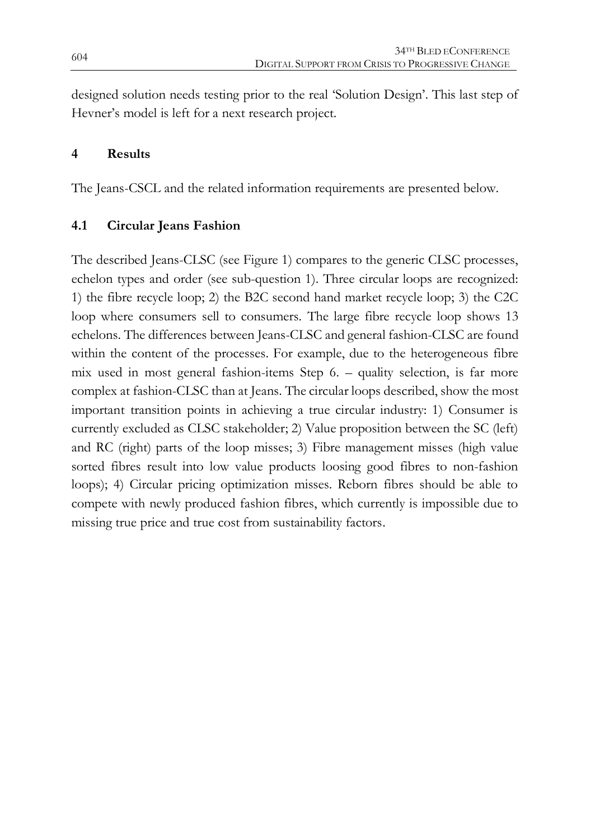designed solution needs testing prior to the real 'Solution Design'. This last step of Hevner's model is left for a next research project.

#### **4 Results**

The Jeans-CSCL and the related information requirements are presented below.

## **4.1 Circular Jeans Fashion**

The described Jeans-CLSC (see Figure 1) compares to the generic CLSC processes, echelon types and order (see sub-question 1). Three circular loops are recognized: 1) the fibre recycle loop; 2) the B2C second hand market recycle loop; 3) the C2C loop where consumers sell to consumers. The large fibre recycle loop shows 13 echelons. The differences between Jeans-CLSC and general fashion-CLSC are found within the content of the processes. For example, due to the heterogeneous fibre mix used in most general fashion-items Step 6. – quality selection, is far more complex at fashion-CLSC than at Jeans. The circular loops described, show the most important transition points in achieving a true circular industry: 1) Consumer is currently excluded as CLSC stakeholder; 2) Value proposition between the SC (left) and RC (right) parts of the loop misses; 3) Fibre management misses (high value sorted fibres result into low value products loosing good fibres to non-fashion loops); 4) Circular pricing optimization misses. Reborn fibres should be able to compete with newly produced fashion fibres, which currently is impossible due to missing true price and true cost from sustainability factors.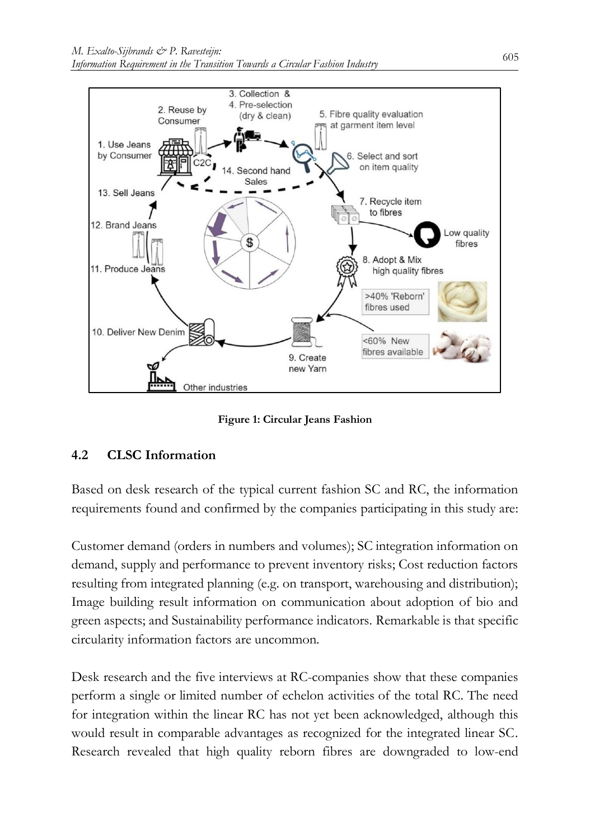

**Figure 1: Circular Jeans Fashion**

## **4.2 CLSC Information**

Based on desk research of the typical current fashion SC and RC, the information requirements found and confirmed by the companies participating in this study are:

Customer demand (orders in numbers and volumes); SC integration information on demand, supply and performance to prevent inventory risks; Cost reduction factors resulting from integrated planning (e.g. on transport, warehousing and distribution); Image building result information on communication about adoption of bio and green aspects; and Sustainability performance indicators. Remarkable is that specific circularity information factors are uncommon.

Desk research and the five interviews at RC-companies show that these companies perform a single or limited number of echelon activities of the total RC. The need for integration within the linear RC has not yet been acknowledged, although this would result in comparable advantages as recognized for the integrated linear SC. Research revealed that high quality reborn fibres are downgraded to low-end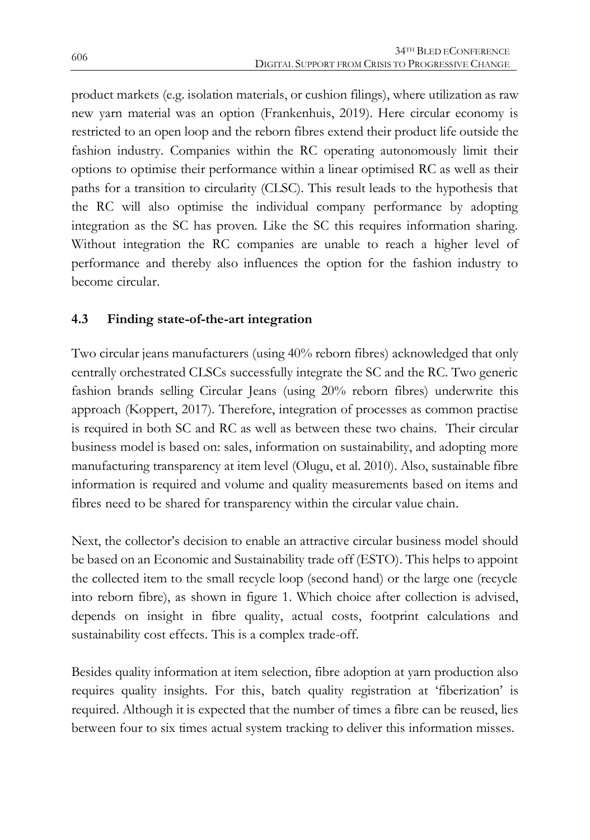product markets (e.g. isolation materials, or cushion filings), where utilization as raw new yarn material was an option (Frankenhuis, 2019). Here circular economy is restricted to an open loop and the reborn fibres extend their product life outside the fashion industry. Companies within the RC operating autonomously limit their options to optimise their performance within a linear optimised RC as well as their paths for a transition to circularity (CLSC). This result leads to the hypothesis that the RC will also optimise the individual company performance by adopting integration as the SC has proven. Like the SC this requires information sharing. Without integration the RC companies are unable to reach a higher level of performance and thereby also influences the option for the fashion industry to become circular.

## **4.3 Finding state-of-the-art integration**

Two circular jeans manufacturers (using 40% reborn fibres) acknowledged that only centrally orchestrated CLSCs successfully integrate the SC and the RC. Two generic fashion brands selling Circular Jeans (using 20% reborn fibres) underwrite this approach (Koppert, 2017). Therefore, integration of processes as common practise is required in both SC and RC as well as between these two chains. Their circular business model is based on: sales, information on sustainability, and adopting more manufacturing transparency at item level (Olugu, et al. 2010). Also, sustainable fibre information is required and volume and quality measurements based on items and fibres need to be shared for transparency within the circular value chain.

Next, the collector's decision to enable an attractive circular business model should be based on an Economic and Sustainability trade off (ESTO). This helps to appoint the collected item to the small recycle loop (second hand) or the large one (recycle into reborn fibre), as shown in figure 1. Which choice after collection is advised, depends on insight in fibre quality, actual costs, footprint calculations and sustainability cost effects. This is a complex trade-off.

Besides quality information at item selection, fibre adoption at yarn production also requires quality insights. For this, batch quality registration at 'fiberization' is required. Although it is expected that the number of times a fibre can be reused, lies between four to six times actual system tracking to deliver this information misses.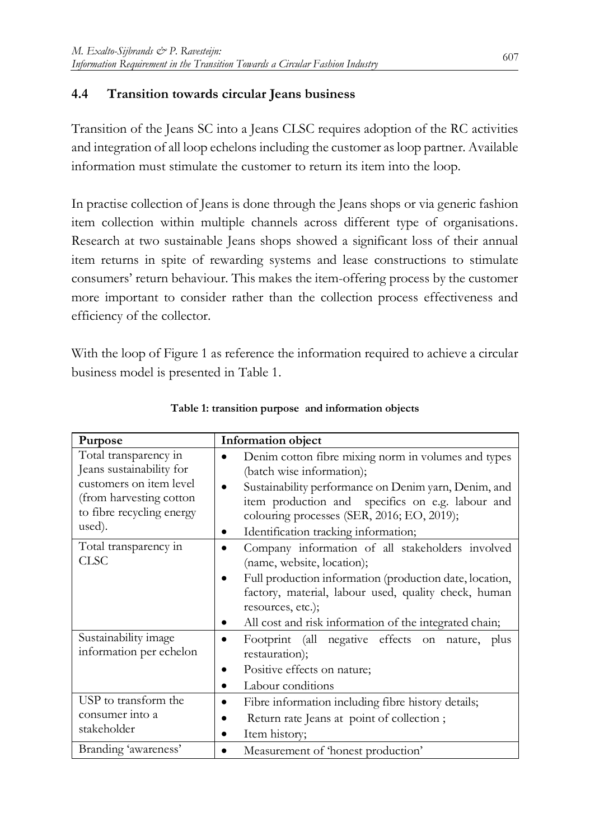## **4.4 Transition towards circular Jeans business**

Transition of the Jeans SC into a Jeans CLSC requires adoption of the RC activities and integration of all loop echelons including the customer as loop partner. Available information must stimulate the customer to return its item into the loop.

In practise collection of Jeans is done through the Jeans shops or via generic fashion item collection within multiple channels across different type of organisations. Research at two sustainable Jeans shops showed a significant loss of their annual item returns in spite of rewarding systems and lease constructions to stimulate consumers' return behaviour. This makes the item-offering process by the customer more important to consider rather than the collection process effectiveness and efficiency of the collector.

With the loop of Figure 1 as reference the information required to achieve a circular business model is presented in Table 1.

| Purpose                                                                                                                                        | Information object                                                                                                                                                                                                                                                                 |
|------------------------------------------------------------------------------------------------------------------------------------------------|------------------------------------------------------------------------------------------------------------------------------------------------------------------------------------------------------------------------------------------------------------------------------------|
| Total transparency in<br>Jeans sustainability for<br>customers on item level<br>(from harvesting cotton<br>to fibre recycling energy<br>used). | Denim cotton fibre mixing norm in volumes and types<br>(batch wise information);<br>Sustainability performance on Denim yarn, Denim, and<br>item production and specifics on e.g. labour and<br>colouring processes (SER, 2016; EO, 2019);<br>Identification tracking information; |
| Total transparency in<br><b>CLSC</b>                                                                                                           | Company information of all stakeholders involved<br>(name, website, location);<br>Full production information (production date, location,<br>factory, material, labour used, quality check, human<br>resources, etc.);<br>All cost and risk information of the integrated chain;   |
| Sustainability image<br>information per echelon                                                                                                | Footprint (all negative effects on nature, plus<br>restauration);<br>Positive effects on nature;<br>Labour conditions                                                                                                                                                              |
| USP to transform the<br>consumer into a<br>stakeholder                                                                                         | Fibre information including fibre history details;<br>Return rate Jeans at point of collection;<br>Item history;<br>٠                                                                                                                                                              |
| Branding 'awareness'                                                                                                                           | Measurement of 'honest production'                                                                                                                                                                                                                                                 |

**Table 1: transition purpose and information objects**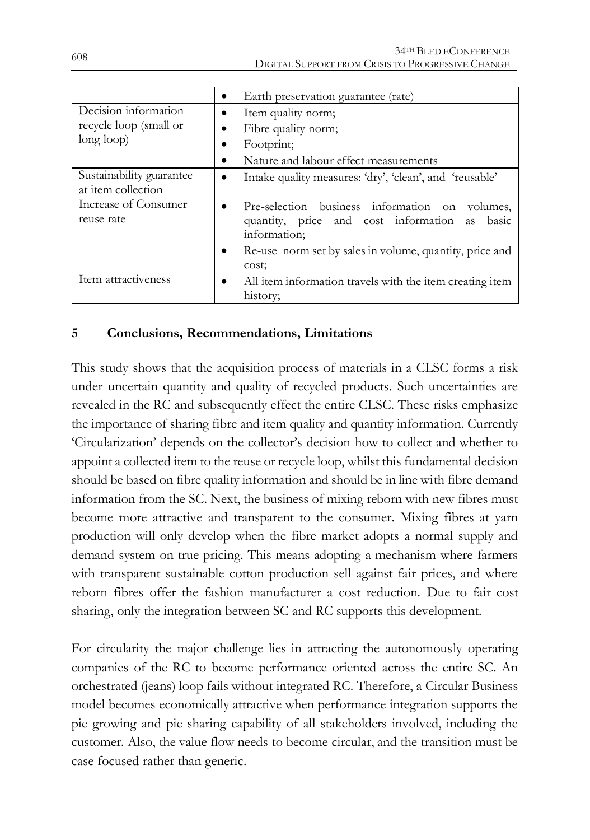|                                                              | Earth preservation guarantee (rate)<br>$\bullet$                                                                                                                                                      |
|--------------------------------------------------------------|-------------------------------------------------------------------------------------------------------------------------------------------------------------------------------------------------------|
| Decision information<br>recycle loop (small or<br>long loop) | Item quality norm;<br>٠<br>Fibre quality norm;<br>Footprint;<br>Nature and labour effect measurements                                                                                                 |
| Sustainability guarantee<br>at item collection               | Intake quality measures: 'dry', 'clean', and 'reusable'<br>٠                                                                                                                                          |
| Increase of Consumer<br>reuse rate                           | Pre-selection business information on volumes,<br>$\bullet$<br>quantity, price and cost information as basic<br>information;<br>Re-use norm set by sales in volume, quantity, price and<br>٠<br>cost: |
| Item attractiveness                                          | All item information travels with the item creating item<br>$\bullet$<br>history;                                                                                                                     |

## **5 Conclusions, Recommendations, Limitations**

This study shows that the acquisition process of materials in a CLSC forms a risk under uncertain quantity and quality of recycled products. Such uncertainties are revealed in the RC and subsequently effect the entire CLSC. These risks emphasize the importance of sharing fibre and item quality and quantity information. Currently 'Circularization' depends on the collector's decision how to collect and whether to appoint a collected item to the reuse or recycle loop, whilst this fundamental decision should be based on fibre quality information and should be in line with fibre demand information from the SC. Next, the business of mixing reborn with new fibres must become more attractive and transparent to the consumer. Mixing fibres at yarn production will only develop when the fibre market adopts a normal supply and demand system on true pricing. This means adopting a mechanism where farmers with transparent sustainable cotton production sell against fair prices, and where reborn fibres offer the fashion manufacturer a cost reduction. Due to fair cost sharing, only the integration between SC and RC supports this development.

For circularity the major challenge lies in attracting the autonomously operating companies of the RC to become performance oriented across the entire SC. An orchestrated (jeans) loop fails without integrated RC. Therefore, a Circular Business model becomes economically attractive when performance integration supports the pie growing and pie sharing capability of all stakeholders involved, including the customer. Also, the value flow needs to become circular, and the transition must be case focused rather than generic.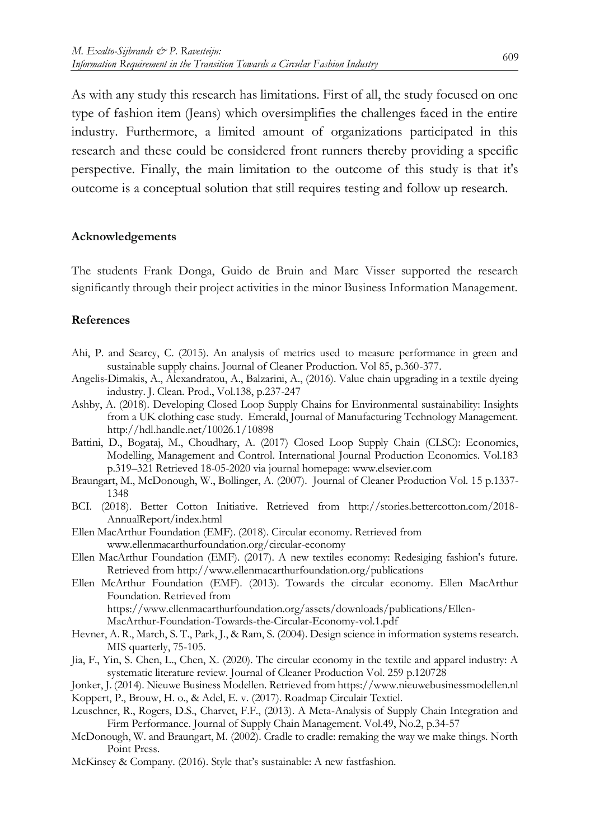As with any study this research has limitations. First of all, the study focused on one type of fashion item (Jeans) which oversimplifies the challenges faced in the entire industry. Furthermore, a limited amount of organizations participated in this research and these could be considered front runners thereby providing a specific perspective. Finally, the main limitation to the outcome of this study is that it's outcome is a conceptual solution that still requires testing and follow up research.

#### **Acknowledgements**

The students Frank Donga, Guido de Bruin and Marc Visser supported the research significantly through their project activities in the minor Business Information Management.

#### **References**

- Ahi, P. and Searcy, C. (2015). An analysis of metrics used to measure performance in green and sustainable supply chains. Journal of Cleaner Production. Vol 85, p.360-377.
- Angelis-Dimakis, A., Alexandratou, A., Balzarini, A., (2016). Value chain upgrading in a textile dyeing industry. J. Clean. Prod., Vol.138, p.237-247
- Ashby, A. (2018). Developing Closed Loop Supply Chains for Environmental sustainability: Insights from a UK clothing case study. Emerald, Journal of Manufacturing Technology Management. http://hdl.handle.net/10026.1/10898
- Battini, D., Bogataj, M., Choudhary, A. (2017) Closed Loop Supply Chain (CLSC): Economics, Modelling, Management and Control. International Journal Production Economics. Vol.183 p.319–321 Retrieved 18-05-2020 via journal homepage: www.elsevier.com
- Braungart, M., McDonough, W., Bollinger, A. (2007). Journal of Cleaner Production Vol. 15 p.1337- 1348
- BCI. (2018). Better Cotton Initiative. Retrieved from http://stories.bettercotton.com/2018- AnnualReport/index.html
- Ellen MacArthur Foundation (EMF). (2018). Circular economy. Retrieved from www.ellenmacarthurfoundation.org/circular-economy
- Ellen MacArthur Foundation (EMF). (2017). A new textiles economy: Redesiging fashion's future. Retrieved from http://www.ellenmacarthurfoundation.org/publications
- Ellen McArthur Foundation (EMF). (2013). Towards the circular economy. Ellen MacArthur Foundation. Retrieved from https://www.ellenmacarthurfoundation.org/assets/downloads/publications/Ellen-MacArthur-Foundation-Towards-the-Circular-Economy-vol.1.pdf
- Hevner, A. R., March, S. T., Park, J., & Ram, S. (2004). Design science in information systems research. MIS quarterly, 75-105.
- Jia, F., Yin, S. Chen, L., Chen, X. (2020). The circular economy in the textile and apparel industry: A systematic literature review. Journal of Cleaner Production Vol. 259 p.120728
- Jonker, J. (2014). Nieuwe Business Modellen. Retrieved from https://www.nieuwebusinessmodellen.nl
- Koppert, P., Brouw, H. o., & Adel, E. v. (2017). Roadmap Circulair Textiel.
- Leuschner, R., Rogers, D.S., Charvet, F.F., (2013). A Meta-Analysis of Supply Chain Integration and Firm Performance. Journal of Supply Chain Management. Vol.49, No.2, p.34-57
- McDonough, W. and Braungart, M. (2002). Cradle to cradle: remaking the way we make things. North Point Press.
- McKinsey & Company. (2016). Style that's sustainable: A new fastfashion.